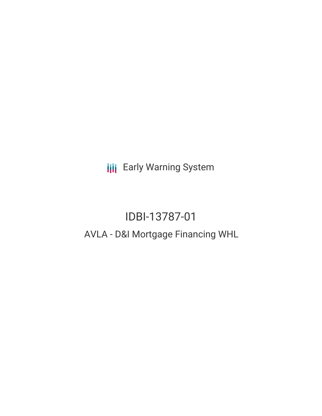**III** Early Warning System

# IDBI-13787-01 AVLA - D&I Mortgage Financing WHL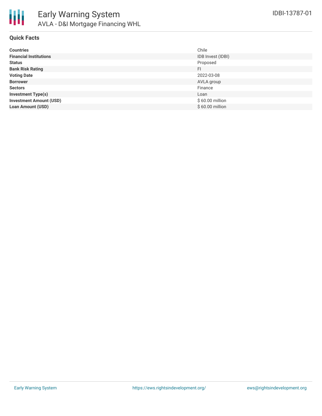

### **Quick Facts**

| <b>Countries</b>               | Chile             |
|--------------------------------|-------------------|
| <b>Financial Institutions</b>  | IDB Invest (IDBI) |
| <b>Status</b>                  | Proposed          |
| <b>Bank Risk Rating</b>        | FI                |
| <b>Voting Date</b>             | 2022-03-08        |
| <b>Borrower</b>                | AVLA group        |
| <b>Sectors</b>                 | Finance           |
| <b>Investment Type(s)</b>      | Loan              |
| <b>Investment Amount (USD)</b> | \$60.00 million   |
| <b>Loan Amount (USD)</b>       | \$60.00 million   |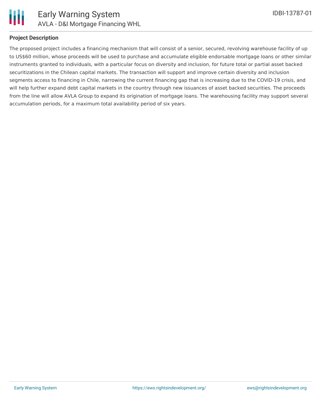

### **Project Description**

The proposed project includes a financing mechanism that will consist of a senior, secured, revolving warehouse facility of up to US\$60 million, whose proceeds will be used to purchase and accumulate eligible endorsable mortgage loans or other similar instruments granted to individuals, with a particular focus on diversity and inclusion, for future total or partial asset backed securitizations in the Chilean capital markets. The transaction will support and improve certain diversity and inclusion segments access to financing in Chile, narrowing the current financing gap that is increasing due to the COVID-19 crisis, and will help further expand debt capital markets in the country through new issuances of asset backed securities. The proceeds from the line will allow AVLA Group to expand its origination of mortgage loans. The warehousing facility may support several accumulation periods, for a maximum total availability period of six years.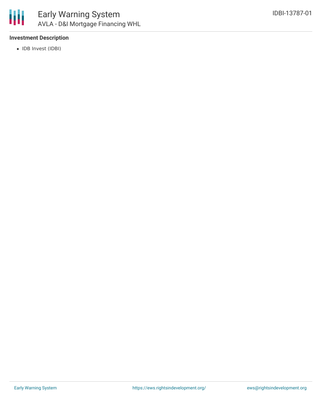

## **Investment Description**

• IDB Invest (IDBI)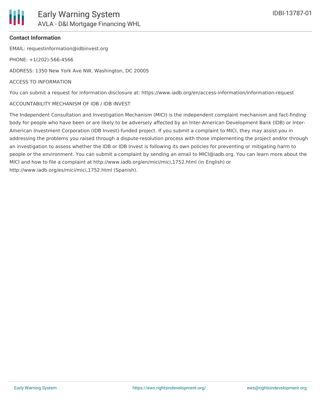### **Contact Information**

EMAIL: requestinformation@idbinvest.org

PHONE: +1(202)-566-4566

ADDRESS: 1350 New York Ave NW, Washington, DC 20005

#### ACCESS TO INFORMATION

You can submit a request for information disclosure at: https://www.iadb.org/en/access-information/information-request

#### ACCOUNTABILITY MECHANISM OF IDB / IDB INVEST

The Independent Consultation and Investigation Mechanism (MICI) is the independent complaint mechanism and fact-finding body for people who have been or are likely to be adversely affected by an Inter-American Development Bank (IDB) or Inter-American Investment Corporation (IDB Invest)-funded project. If you submit a complaint to MICI, they may assist you in addressing the problems you raised through a dispute-resolution process with those implementing the project and/or through an investigation to assess whether the IDB or IDB Invest is following its own policies for preventing or mitigating harm to people or the environment. You can submit a complaint by sending an email to MICI@iadb.org. You can learn more about the MICI and how to file a complaint at http://www.iadb.org/en/mici/mici,1752.html (in English) or http://www.iadb.org/es/mici/mici,1752.html (Spanish).